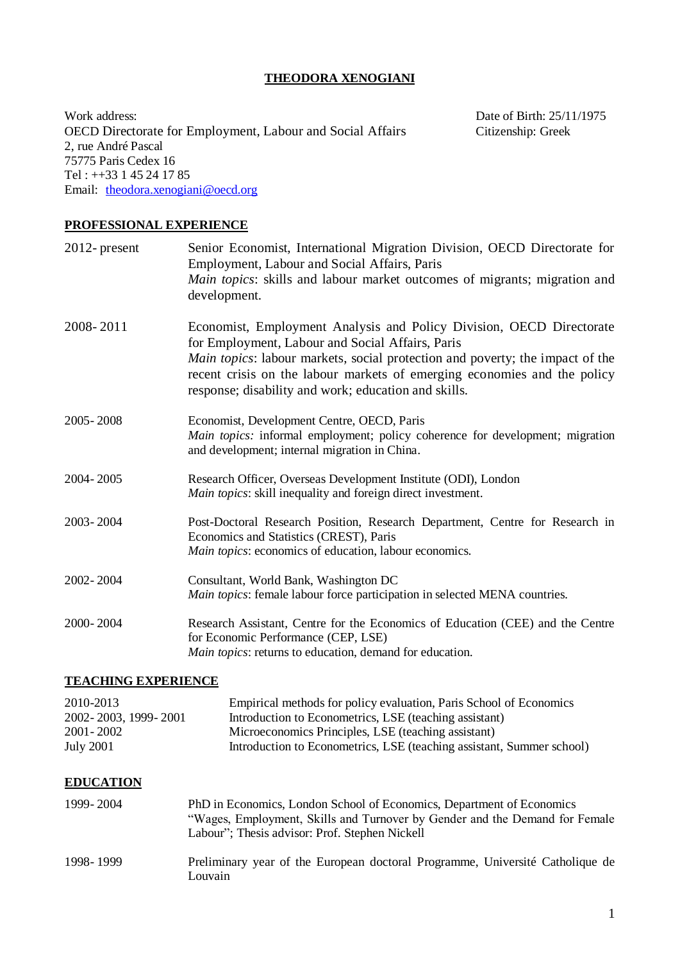## **THEODORA XENOGIANI**

Work address: Date of Birth: 25/11/1975<br>OECD Directorate for Employment, Labour and Social Affairs Citizenship: Greek OECD Directorate for Employment, Labour and Social Affairs 2, rue André Pascal 75775 Paris Cedex 16 Tel : ++33 1 45 24 17 85 Email: [theodora.xenogiani@oecd.org](mailto:theodora.xenogiani@oecd.org)

### **PROFESSIONAL EXPERIENCE**

| $2012$ - present                                                   | Senior Economist, International Migration Division, OECD Directorate for<br>Employment, Labour and Social Affairs, Paris<br>Main topics: skills and labour market outcomes of migrants; migration and<br>development.                                                                                                                         |
|--------------------------------------------------------------------|-----------------------------------------------------------------------------------------------------------------------------------------------------------------------------------------------------------------------------------------------------------------------------------------------------------------------------------------------|
| 2008-2011                                                          | Economist, Employment Analysis and Policy Division, OECD Directorate<br>for Employment, Labour and Social Affairs, Paris<br>Main topics: labour markets, social protection and poverty; the impact of the<br>recent crisis on the labour markets of emerging economies and the policy<br>response; disability and work; education and skills. |
| 2005-2008                                                          | Economist, Development Centre, OECD, Paris<br>Main topics: informal employment; policy coherence for development; migration<br>and development; internal migration in China.                                                                                                                                                                  |
| 2004-2005                                                          | Research Officer, Overseas Development Institute (ODI), London<br>Main topics: skill inequality and foreign direct investment.                                                                                                                                                                                                                |
| 2003-2004                                                          | Post-Doctoral Research Position, Research Department, Centre for Research in<br>Economics and Statistics (CREST), Paris<br>Main topics: economics of education, labour economics.                                                                                                                                                             |
| 2002-2004                                                          | Consultant, World Bank, Washington DC<br>Main topics: female labour force participation in selected MENA countries.                                                                                                                                                                                                                           |
| 2000-2004                                                          | Research Assistant, Centre for the Economics of Education (CEE) and the Centre<br>for Economic Performance (CEP, LSE)<br>Main topics: returns to education, demand for education.                                                                                                                                                             |
| <b>TEACHING EXPERIENCE</b>                                         |                                                                                                                                                                                                                                                                                                                                               |
| 2010-2013<br>2002-2003, 1999-2001<br>2001-2002<br><b>July 2001</b> | Empirical methods for policy evaluation, Paris School of Economics<br>Introduction to Econometrics, LSE (teaching assistant)<br>Microeconomics Principles, LSE (teaching assistant)<br>Introduction to Econometrics, LSE (teaching assistant, Summer school)                                                                                  |
| <b>EDUCATION</b>                                                   |                                                                                                                                                                                                                                                                                                                                               |
| 1999-2004                                                          | PhD in Economics, London School of Economics, Department of Economics<br>"Wages, Employment, Skills and Turnover by Gender and the Demand for Female<br>Labour"; Thesis advisor: Prof. Stephen Nickell                                                                                                                                        |
| 1998-1999                                                          | Preliminary year of the European doctoral Programme, Université Catholique de<br>Louvain                                                                                                                                                                                                                                                      |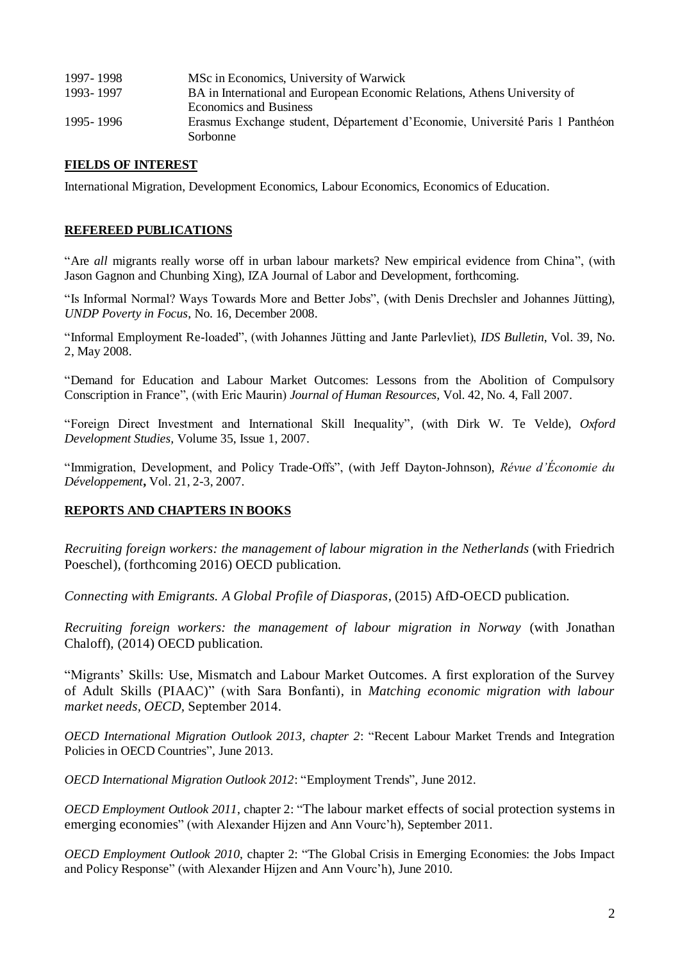| 1997-1998 | MSc in Economics, University of Warwick                                       |
|-----------|-------------------------------------------------------------------------------|
| 1993-1997 | BA in International and European Economic Relations, Athens University of     |
|           | <b>Economics and Business</b>                                                 |
| 1995-1996 | Erasmus Exchange student, Département d'Economie, Université Paris 1 Panthéon |
|           | Sorbonne                                                                      |

#### **FIELDS OF INTEREST**

International Migration, Development Economics, Labour Economics, Economics of Education.

#### **REFEREED PUBLICATIONS**

"Are *all* migrants really worse off in urban labour markets? New empirical evidence from China", (with Jason Gagnon and Chunbing Xing), IZA Journal of Labor and Development, forthcoming.

"Is Informal Normal? Ways Towards More and Better Jobs", (with Denis Drechsler and Johannes Jütting), *UNDP Poverty in Focus*, No. 16, December 2008.

"Informal Employment Re-loaded", (with Johannes Jütting and Jante Parlevliet), *IDS Bulletin*, Vol. 39, No. 2, May 2008.

"Demand for Education and Labour Market Outcomes: Lessons from the Abolition of Compulsory Conscription in France", (with Eric Maurin) *Journal of Human Resources,* Vol. 42, No. 4, Fall 2007.

"Foreign Direct Investment and International Skill Inequality", (with Dirk W. Te Velde), *Oxford Development Studies,* Volume [35,](http://www.informaworld.com/smpp/title~content=t713439972~db=all~tab=issueslist~branches=35#v35) Issue 1, 2007.

"Immigration, Development, and Policy Trade-Offs", (with Jeff Dayton-Johnson), *Révue d'Économie du Développement***,** Vol. 21, 2-3, 2007.

#### **REPORTS AND CHAPTERS IN BOOKS**

*Recruiting foreign workers: the management of labour migration in the Netherlands* (with Friedrich Poeschel), (forthcoming 2016) OECD publication.

*Connecting with Emigrants. A Global Profile of Diasporas*, (2015) AfD-OECD publication.

*Recruiting foreign workers: the management of labour migration in Norway* (with Jonathan Chaloff), (2014) OECD publication.

"Migrants' Skills: Use, Mismatch and Labour Market Outcomes. A first exploration of the Survey of Adult Skills (PIAAC)" (with Sara Bonfanti), in *Matching economic migration with labour market needs, OECD,* September 2014.

*OECD International Migration Outlook 2013, chapter 2*: "Recent Labour Market Trends and Integration Policies in OECD Countries", June 2013.

*OECD International Migration Outlook 2012*: "Employment Trends", June 2012.

*OECD Employment Outlook 2011*, chapter 2: "The labour market effects of social protection systems in emerging economies" (with Alexander Hijzen and Ann Vourc'h), September 2011.

*OECD Employment Outlook 2010*, chapter 2: "The Global Crisis in Emerging Economies: the Jobs Impact and Policy Response" (with Alexander Hijzen and Ann Vourc'h), June 2010.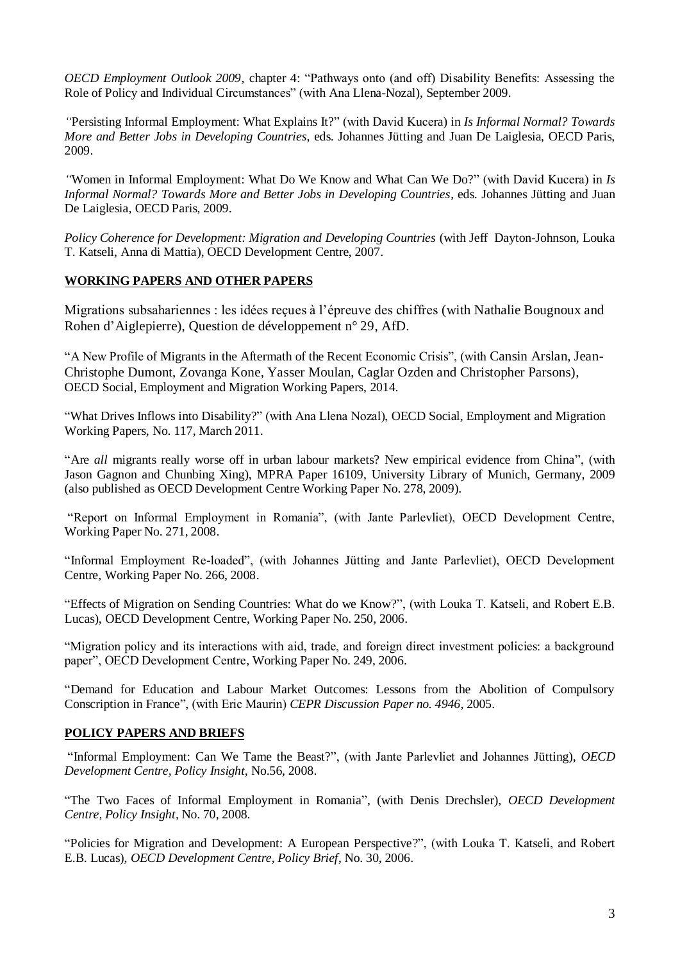*OECD Employment Outlook 2009*, chapter 4: "Pathways onto (and off) Disability Benefits: Assessing the Role of Policy and Individual Circumstances" (with Ana Llena-Nozal), September 2009.

*"*Persisting Informal Employment: What Explains It?" (with David Kucera) in *Is Informal Normal? Towards More and Better Jobs in Developing Countries*, eds. Johannes Jütting and Juan De Laiglesia, OECD Paris, 2009.

*"*Women in Informal Employment: What Do We Know and What Can We Do?" (with David Kucera) in *Is Informal Normal? Towards More and Better Jobs in Developing Countries*, eds. Johannes Jütting and Juan De Laiglesia, OECD Paris, 2009.

*Policy Coherence for Development: Migration and Developing Countries* (with Jeff Dayton-Johnson, Louka T. Katseli, Anna di Mattia), OECD Development Centre, 2007.

## **WORKING PAPERS AND OTHER PAPERS**

Migrations subsahariennes : les idées reçues à l'épreuve des chiffres (with Nathalie Bougnoux and Rohen d'Aiglepierre), Question de développement n° 29, AfD.

"A New Profile of Migrants in the Aftermath of the Recent Economic Crisis", (with Cansin Arslan, Jean-Christophe Dumont, Zovanga Kone, Yasser Moulan, Caglar Ozden and Christopher Parsons), OECD Social, Employment and Migration Working Papers, 2014.

["What Drives Inflows into Disability?"](http://www.oecd-ilibrary.org/social-issues-migration-health/what-drives-inflows-into-disability_5kgg52gjg26b-en;jsessionid=49qi0dj90cqw6.epsilon) (with Ana Llena Nozal), OECD Social, Employment and Migration Working Papers, No. 117, March 2011.

"Are *all* migrants really worse off in urban labour markets? New empirical evidence from China", (with Jason Gagnon and Chunbing Xing), MPRA Paper 16109, University Library of Munich, Germany, 2009 (also published as OECD Development Centre Working Paper No. 278, 2009).

"Report on Informal Employment in Romania", (with Jante Parlevliet), OECD Development Centre, Working Paper No. 271, 2008.

"Informal Employment Re-loaded", (with Johannes Jütting and Jante Parlevliet), OECD Development Centre, Working Paper No. 266, 2008.

"Effects of Migration on Sending Countries: What do we Know?", (with Louka T. Katseli, and Robert E.B. Lucas), OECD Development Centre, Working Paper No. 250, 2006.

"Migration policy and its interactions with aid, trade, and foreign direct investment policies: a background paper", OECD Development Centre, Working Paper No. 249, 2006.

"Demand for Education and Labour Market Outcomes: Lessons from the Abolition of Compulsory Conscription in France", (with Eric Maurin) *CEPR Discussion Paper no. 4946,* 2005.

## **POLICY PAPERS AND BRIEFS**

["Informal Employment: Can We Tame the Beast?"](http://www.oecd.org/dataoecd/47/5/40008392.pdf), (with Jante Parlevliet and Johannes Jütting), *OECD Development Centre, Policy Insight,* No.56, 2008.

"The Two Faces of Informal Employment in Romania", (with Denis Drechsler), *OECD Development Centre, Policy Insight,* No. 70, 2008.

"Policies for Migration and Development: A European Perspective?", (with Louka T. Katseli, and Robert E.B. Lucas), *OECD Development Centre, Policy Brief*, No. 30, 2006.